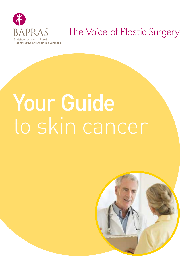

### The Voice of Plastic Surgery

# Your Guide to skin cancer

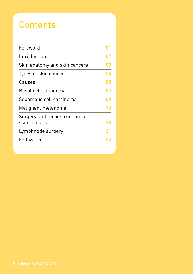### **Contents**

| Foreword                                       |    |
|------------------------------------------------|----|
| Introduction                                   | 02 |
| Skin anatomy and skin cancers                  | 03 |
| Types of skin cancer                           | 04 |
| Causes                                         | 05 |
| Basal cell carcinoma                           | በ7 |
| Squamous cell carcinoma                        | 09 |
| Malignant melanoma                             | 10 |
| Surgery and reconstruction for<br>skin cancers | 16 |
| Lymphnode surgery                              | 21 |
| Follow-up                                      | 22 |
|                                                |    |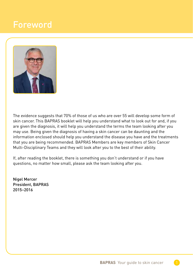### Foreword



The evidence suggests that 70% of those of us who are over 55 will develop some form of skin cancer. This BAPRAS booklet will help you understand what to look out for and, if you are given the diagnosis, it will help you understand the terms the team looking after you may use. Being given the diagnosis of having a skin cancer can be daunting and the information enclosed should help you understand the disease you have and the treatments that you are being recommended. BAPRAS Members are key members of Skin Cancer Multi-Disciplinary Teams and they will look after you to the best of their ability.

If, after reading the booklet, there is something you don't understand or if you have questions, no matter how small, please ask the team looking after you.

Nigel Mercer President, BAPRAS 2015–2016

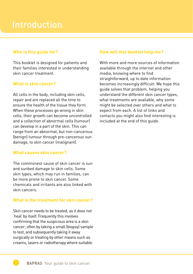### Introduction

### **Who is this guide for?**

This booklet is designed for patients and their families interested in understanding skin cancer treatment.

### **What is skin cancer?**

All cells in the body, including skin cells, repair and are replaced all the time to ensure the health of the tissue they form. When these processes go wrong in skin cells, their growth can become uncontrolled and a collection of abnormal cells (tumour) can develop in a part of the skin. This can range from an abnormal, but non-cancerous (benign) tumour through pre-cancerous sun damage, to skin cancer (malignant).

### **What causes skin cancer?**

The commonest cause of skin cancer is sun and sunbed damage to skin cells. Some skin types, which may run in families, can be more prone to skin cancer. Some chemicals and irritants are also linked with skin cancers.

### **What is the treatment for skin cancer?**

Skin cancer needs to be treated, as it does not 'heal' by itself. Frequently this involves confirming that the suspicious area is a skin cancer, often by taking a small (biopsy) sample to test, and subsequently taking it away surgically or treating by other means such as creams, lasers or radiotherapy where suitable.

### **How will this booklet help me?**

With more and more sources of information available through the internet and other media, knowing where to find straightforward, up to date information becomes increasingly difficult. We hope this guide solves that problem, helping you understand the different skin cancer types, what treatments are available, why some might be selected over others and what to expect from each. A list of links and contacts you might also find interesting is included at the end of this guide.

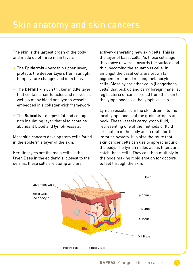The skin is the largest organ of the body and made up of three main layers:

- The **Epidermis** very thin upper layer, protects the deeper layers from sunlight, temperature changes and infections.
- The **Dermis** much thicker middle layer that contains hair follicles and nerves as well as many blood and lymph vessels embedded in a collagen-rich framework.
- The **Subcutis** deepest fat and collagen rich insulating layer that also contains abundant blood and lymph vessels.

Most skin cancers develop from cells found in the epidermis layer of the skin.

Keratinocytes are the main cells in this layer. Deep in the epidermis, closest to the dermis, these cells are plump and are

actively generating new skin cells. This is the layer of basal cells. As these cells age they move upwards towards the surface and thin, becoming the squamous cells. In amongst the basal cells are brown tan pigment (melanin) making melanocyte cells. Close by are other cells (Langerhans cells) that pick up and carry foreign material (eg bacteria or cancer cells) from the skin to the lymph nodes via the lymph vessels.

Lymph vessels from the skin drain into the local lymph nodes of the groin, armpits and neck. These vessels carry lymph fluid, representing one of the methods of fluid circulation in the body and a route for the immune system. It is also the route that skin cancer cells can use to spread around the body. The lymph nodes act as filters and catch these cells. They can then multiply in the node making it big enough for doctors to feel through the skin.

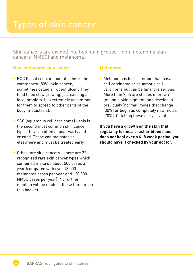Skin cancers are divided into two main groups – non melanoma skin cancers (NMSC) and melanoma.

### **Non-melanoma skin cancer**

- BCC (basal cell carcinoma) this is the commonest (80%) skin cancer, sometimes called a 'rodent ulcer'. They tend to be slow growing, just causing a local problem. It is extremely uncommon for them to spread to other parts of the body (metastasis).
- SCC (squamous cell carcinomal this is the second most common skin cancer type. They can often appear warty and crusted. These can metastasise elsewhere and must be treated early.
- Other rare skin cancers there are 22 recognised rare skin cancer types which combined make up about 500 cases a year (compared with over 13,000 melanoma cases per year and 130,000 NMSC cases per year). No further mention will be made of these tumours in this booklet.

### **Melanoma**

• Melanoma is less common than basal cell carcinoma or squamous cell carcinoma but can be far more serious. More than 95% are shades of brown (melanin skin pigment) and develop in previously 'normal' moles that change (30%) or begin as completely new moles (70%). Catching these early is vital.

**If you have a growth on the skin that regularly forms a crust or bleeds and does not heal over a 6–8 week period, you should have it checked by your doctor.** 

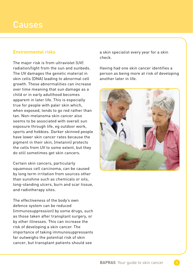### **Environmental risks**

The major risk is from ultraviolet (UV) radiation/light from the sun and sunbeds. The UV damages the genetic material in skin cells (DNA) leading to abnormal cell growth. These abnormalities can increase over time meaning that sun damage as a child or in early adulthood becomes apparent in later life. This is especially true for people with paler skin which, when exposed, tends to go red rather than tan. Non-melanoma skin cancer also seems to be associated with overall sun exposure through life, eg outdoor work, sports and hobbies. Darker skinned people have lower skin cancer rates because the pigment in their skin, (melanin) protects the cells from UV to some extent, but they do still sometimes get skin cancers.

Certain skin cancers, particularly squamous cell carcinoma, can be caused by long term irritation from sources other than sunshine such as chemicals or oils, long-standing ulcers, burn and scar tissue, and radiotherapy sites.

The effectiveness of the body's own defence system can be reduced (immunosuppression) by some drugs, such as those taken after transplant surgery, or by other illnesses. This can increase the risk of developing a skin cancer. The importance of taking immunosuppressants far outweighs the potential risk of skin cancer, but transplant patients should see

a skin specialist every year for a skin check.

Having had one skin cancer identifies a person as being more at risk of developing another later in life.

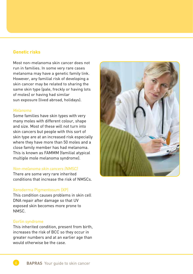### **Genetic risks**

Most non-melanoma skin cancer does not run in families. In some very rare cases melanoma may have a genetic family link. However, any familial risk of developing a skin cancer may be related to sharing the same skin type (pale, freckly or having lots of moles) or having had similar sun exposure (lived abroad, holidays).

#### *Melanoma*

Some families have skin types with very many moles with different colour, shape and size. Most of these will not turn into skin cancers but people with this sort of skin type are at an increased risk especially where they have more than 50 moles and a close family member has had melanoma. This is known as FAMMM (familial atypical multiple mole melanoma syndrome).

### *Non-melanoma skin cancers (NMSC)*

There are some very rare inherited conditions that increase the risk of NMSCs.

#### Xeroderma Pigmentosum (XP)

This condition causes problems in skin cell DNA repair after damage so that UV exposed skin becomes more prone to NMSC.

#### Gorlin syndrome

This inherited condition, present from birth, increases the risk of BCC so they occur in greater numbers and at an earlier age than would otherwise be the case.



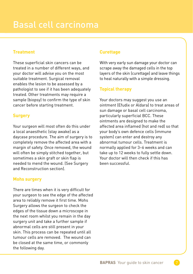### **Treatment**

These superficial skin cancers can be treated in a number of different ways, and your doctor will advise you on the most suitable treatment. Surgical removal enables the lesion to be assessed by a pathologist to see if it has been adequately treated. Other treatments may require a sample (biopsy) to confirm the type of skin cancer before starting treatment.

### **Surgery**

Your surgeon will most often do this under a local anaesthetic (stay awake) as a daycase procedure. The aim of surgery is to completely remove the affected area with a margin of safety. Once removed, the wound will often be simply stitched together, but sometimes a skin graft or skin flap is needed to mend the wound. (See Surgery and Reconstruction section).

### **Mohs surgery**

There are times when it is very difficult for your surgeon to see the edge of the affected area to reliably remove it first time. Mohs Surgery allows the surgeon to check the edges of the tissue down a microscope in the next room whilst you remain in the day surgery unit and take a further sample if abnormal cells are still present in your skin. This process can be repeated until all tumour cells are removed. The wound can be closed at the same time, or commonly the following day.

### **Curettage**

With very early sun damage your doctor can scrape away the damaged cells in the top layers of the skin (curettage) and leave things to heal naturally with a simple dressing.

### **Topical therapy**

Your doctors may suggest you use an ointment (Efudix or Aldara) to treat areas of sun damage or basal cell carcinoma, particularly superficial BCC. These ointments are designed to make the affected area inflamed (hot and red) so that your body's own defence cells (immune system) can enter and destroy any abnormal tumour cells. Treatment is normally applied for 3–6 weeks and can take up to 12 weeks to fully settle down. Your doctor will then check if this has been successful.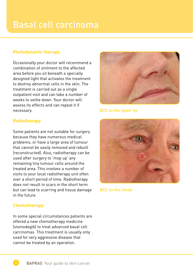### Basal cell carcinoma

### **Photodynamic therapy**

Occasionally your doctor will recommend a combination of ointment to the affected area before you sit beneath a specially designed light that activates the treatment to destroy abnormal cells in the skin. The treatment is carried out as a single outpatient visit and can take a number of weeks to settle down. Your doctor will assess its effects and can repeat it if necessary.

### **Radiotherapy**

Some patients are not suitable for surgery because they have numerous medical problems, or have a large area of tumour that cannot be easily removed and rebuilt (reconstructed). Also, radiotherapy can be used after surgery to 'mop up' any remaining tiny tumour cells around the treated area. This involves a number of visits to your local radiotherapy unit often over a short period of time. Radiotherapy does not result in scars in the short term but can lead to scarring and tissue damage in the future.

### **Chemotherapy**

In some special circumstances patients are offered a new chemotherapy medicine (vismodegib) to treat advanced basal cell carcinomas. This treatment is usually only used for very aggressive disease that cannot be treated by an operation.



BCC on the upper lip



BCC on the cheek

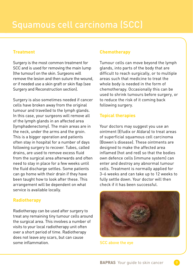### **Treatment**

Surgery is the most common treatment for SCC and is used for removing the main lump (the tumour) on the skin. Surgeons will remove the lesion and then suture the wound, or if needed use a skin graft or skin flap (see Surgery and Reconstruction section).

Surgery is also sometimes needed if cancer cells have broken away from the original tumour and travelled to the lymph glands. In this case, your surgeons will remove all of the lymph glands in an affected area (lymphadenectomy). The main areas are in the neck, under the arms and the groin. This is a bigger operation and patients often stay in hospital for a number of days following surgery to recover. Tubes, called drains, are used to remove excess fluid from the surgical area afterwards and often need to stay in place for a few weeks until the fluid discharge settles. Some patients can go home with their drain if they have been taught how to look after these. This arrangement will be dependent on what service is available locally.

### **Radiotherapy**

Radiotherapy can be used after surgery to treat any remaining tiny tumour cells around the surgical area. This involves a number of visits to your local radiotherapy unit often over a short period of time. Radiotherapy does not leave any scars, but can cause some inflammation.

### **Chemotherapy**

Tumour cells can move beyond the lymph glands, into parts of the body that are difficult to reach surgically, or to multiple areas such that medicine to treat the whole body is needed in the form of chemotherapy. Occasionally this can be used to shrink tumours before surgery, or to reduce the risk of it coming back following surgery.

### **Topical therapies**

Your doctors may suggest you use an ointment (Efudix or Aldara) to treat areas of superficial squamous cell carcinoma (Bowen's disease). These ointments are designed to make the affected area inflamed (hot and red) so that the bodies own defence cells (immune system) can enter and destroy any abnormal tumour cells. Treatment is normally applied for 3–6 weeks and can take up to 12 weeks to fully settle down. Your doctor will then check if it has been successful.



SCC above the eye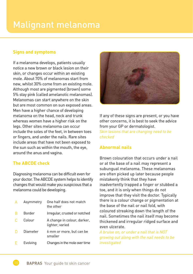### Malignant melanoma

### **Signs and symptoms**

If a melanoma develops, patients usually notice a new brown or black lesion on their skin, or changes occur within an existing mole. About 70% of melanomas start from new, whilst 30% come from an existing mole. Although most are pigmented (brown) some 5% stay pink (called amelanotic melanomas). Melanomas can start anywhere on the skin but are most common on sun exposed areas. Men have a higher chance of developing melanoma on the head, neck and trunk whereas women have a higher risk on the legs. Other sites melanoma can occur include the soles of the feet, in between toes or fingers, and under the nails. Rare sites include areas that have not been exposed to the sun such as within the mouth, the eye, around the anus and vagina.

### **The ABCDE check**

Diagnosing melanoma can be difficult even for your doctor. The ABCDE system helps to identify changes that would make you suspicious that a melanoma could be developing.

| $\Delta$ | Asymmetry     | One half does not match<br>the other           |
|----------|---------------|------------------------------------------------|
| B        | <b>Border</b> | Irregular, crusted or notched                  |
| C        | Colour        | A change in colour, darker,<br>lighter, varied |
|          | Diameter      | 6 mm or more, but can be<br>smaller            |
| F        | Evolving      | Changes in the mole over time                  |



If any of these signs are present, or you have other concerns, it is best to seek the advice from your GP or dermatologist. *Skin lesions that are changing need to be checked*

### **Abnormal nails**

Brown colouration that occurs under a nail or at the base of a nail may represent a subungual melanoma. These melanomas are often picked up later because people mistakenly think that they have inadvertently trapped a finger or stubbed a toe, and it is only when things do not improve that they visit the doctor. Typically there is a colour change or pigmentation at the base of the nail or nail fold, with coloured streaking down the length of the nail. Sometimes the nail itself may become thickened and irregular ridged surface and even ulcerate.

*A bruise on, or under a nail that is NOT growing out along with the nail needs to be investigated*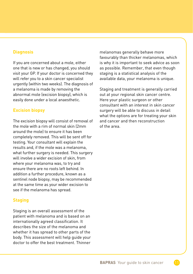### **Diagnosis**

If you are concerned about a mole, either one that is new or has changed, you should visit your GP. If your doctor is concerned they will refer you to a skin cancer specialist urgently (within two weeks). The diagnosis of a melanoma is made by removing the abnormal mole (excision biopsy), which is easily done under a local anaesthetic.

### **Excision biopsy**

The excision biopsy will consist of removal of the mole with a rim of normal skin (2mm around the mole) to ensure it has been completely removed. This will be sent off for testing. Your consultant will explain the results and, if the mole was a melanoma, what further surgery is needed. This surgery will involve a wider excision of skin, from where your melanoma was, to try and ensure there are no roots left behind. In addition a further procedure, known as a sentinel node biopsy, may be recommended at the same time as your wider excision to see if the melanoma has spread.

### **Staging**

Staging is an overall assessment of the patient with melanoma and is based on an internationally agreed classification. It describes the size of the melanoma and whether it has spread to other parts of the body. This assessment will help guide your doctor to offer the best treatment. Thinner

melanomas generally behave more favourably than thicker melanomas, which is why it is important to seek advice as soon as possible. Remember, that even though staging is a statistical analysis of the available data, your melanoma is unique.

Staging and treatment is generally carried out at your regional skin cancer centre. Here your plastic surgeon or other consultant with an interest in skin cancer surgery will be able to discuss in detail what the options are for treating your skin and cancer and then reconstruction of the area.

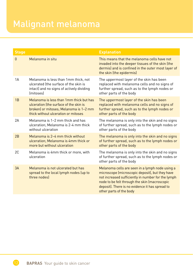### Malignant melanoma

| <b>Stage</b> |                                                                                                                                                                    | <b>Explanation</b>                                                                                                                                                                                                                                                                      |
|--------------|--------------------------------------------------------------------------------------------------------------------------------------------------------------------|-----------------------------------------------------------------------------------------------------------------------------------------------------------------------------------------------------------------------------------------------------------------------------------------|
| $\Omega$     | Melanoma in situ                                                                                                                                                   | This means that the melanoma cells have not<br>invaded into the deeper tissues of the skin (the<br>dermis) and is confined in the outer most layer of<br>the skin (the epidermis)                                                                                                       |
| 1A           | Melanoma is less than 1mm thick, not<br>ulcerated (the surface of the skin is<br>intact) and no signs of actively dividing<br><i><u><b>Imitoses</b></u></i>        | The uppermost layer of the skin has been<br>replaced with melanoma cells and no signs of<br>further spread, such as to the lymph nodes or<br>other parts of the body                                                                                                                    |
| 1B           | Melanoma is less than 1mm thick but has<br>ulceration (the surface of the skin is<br>broken) or mitoses; Melanoma is 1-2 mm<br>thick without ulceration or mitoses | The uppermost layer of the skin has been<br>replaced with melanoma cells and no signs of<br>further spread, such as to the lymph nodes or<br>other parts of the body                                                                                                                    |
| 2A           | Melanoma is 1-2 mm thick and has<br>ulceration: Melanoma is 2-4 mm thick<br>without ulceration                                                                     | The melanoma is only into the skin and no signs<br>of further spread, such as to the lymph nodes or<br>other parts of the body                                                                                                                                                          |
| 2B           | Melanoma is 2-4 mm thick without<br>ulceration: Melanoma is 4mm thick or<br>more but without ulceration                                                            | The melanoma is only into the skin and no signs<br>of further spread, such as to the lymph nodes or<br>other parts of the body                                                                                                                                                          |
| 2C           | Melanoma is 4mm thick or more, with<br>ulceration                                                                                                                  | The melanoma is only into the skin and no signs<br>of further spread, such as to the lymph nodes or<br>other parts of the body                                                                                                                                                          |
| 3A           | Melanoma is not ulcerated but has<br>spread to the local lymph nodes (up to<br>three nodes)                                                                        | Melanoma cells are seen in a lymph node using a<br>microscope (microscopic deposit), but they have<br>not increased sufficiently in number for the lymph<br>node to be felt through the skin (macroscopic<br>deposit). There is no evidence it has spread to<br>other parts of the body |

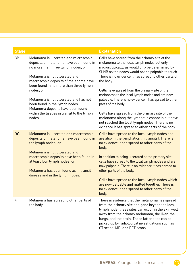| <b>Stage</b> |                                                                                                                                                                                                                                                                                                                                                                                                                                 | <b>Explanation</b>                                                                                                                                                                                                                                                                                                                                                                                                                                                                                                                                                                                                |
|--------------|---------------------------------------------------------------------------------------------------------------------------------------------------------------------------------------------------------------------------------------------------------------------------------------------------------------------------------------------------------------------------------------------------------------------------------|-------------------------------------------------------------------------------------------------------------------------------------------------------------------------------------------------------------------------------------------------------------------------------------------------------------------------------------------------------------------------------------------------------------------------------------------------------------------------------------------------------------------------------------------------------------------------------------------------------------------|
| 3B           | Melanoma is ulcerated and microscopic<br>deposits of melanoma have been found in<br>no more than three lymph nodes; or<br>Melanoma is not ulcerated and<br>macroscopic deposits of melanoma have<br>been found in no more than three lymph<br>nodes; or<br>Melanoma is not ulcerated and has not<br>been found in the lymph nodes.<br>Melanoma deposits have been found<br>within the tissues in transit to the lymph<br>nodes. | Cells have spread from the primary site of the<br>melanoma to the local lymph nodes but only<br>microscopically, as would only be determined by<br>SLNB as the nodes would not be palpable to touch.<br>There is no evidence it has spread to other parts of<br>the body.<br>Cells have spread from the primary site of the<br>melanoma to the local lymph nodes and are now<br>palpable. There is no evidence it has spread to other<br>parts of the body.<br>Cells have spread from the primary site of the<br>melanoma along the lymphatic channels but have<br>not reached the local lymph nodes. There is no |
|              |                                                                                                                                                                                                                                                                                                                                                                                                                                 | evidence it has spread to other parts of the body.                                                                                                                                                                                                                                                                                                                                                                                                                                                                                                                                                                |
| 3C           | Melanoma is ulcerated and macroscopic<br>deposits of melanoma have been found in<br>the lymph nodes; or<br>Melanoma is not ulcerated and                                                                                                                                                                                                                                                                                        | Cells have spread to the local lymph nodes and<br>are also in the lymphatics (in transits). There is<br>no evidence it has spread to other parts of the<br>body.                                                                                                                                                                                                                                                                                                                                                                                                                                                  |
|              | macroscopic deposits have been found in<br>at least four lymph nodes; or<br>Melanoma has been found as in transit<br>disease and in the lymph nodes.                                                                                                                                                                                                                                                                            | In addition to being ulcerated at the primary site,<br>cells have spread to the local lymph nodes and are<br>now palpable. There is no evidence it has spread to<br>other parts of the body.                                                                                                                                                                                                                                                                                                                                                                                                                      |
|              |                                                                                                                                                                                                                                                                                                                                                                                                                                 | Cells have spread to the local lymph nodes which<br>are now palpable and matted together. There is<br>no evidence it has spread to other parts of the<br>body.                                                                                                                                                                                                                                                                                                                                                                                                                                                    |
| 4            | Melanoma has spread to other parts of<br>the body                                                                                                                                                                                                                                                                                                                                                                               | There is evidence that the melanoma has spread<br>from the primary site and gone beyond the local<br>lymph node; these sites can occur in the skin well<br>away from the primary melanoma, the liver, the<br>lungs, and the brain. These latter sites can be<br>picked up by radiological investigations such as<br>CT scans, MRI and PET scans.                                                                                                                                                                                                                                                                  |

13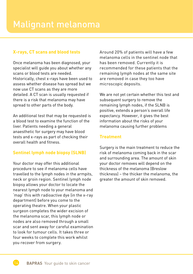### **X-rays, CT scans and blood tests**

Once melanoma has been diagnosed, your specialist will guide you about whether any scans or blood tests are needed. Historically, chest x-rays have been used to assess whether disease has spread but we now use CT scans as they are more detailed. A CT scan is usually requested if there is a risk that melanoma may have spread to other parts of the body.

An additional test that may be requested is a blood test to examine the function of the liver. Patients needing a general anaesthetic for surgery may have blood tests and x-rays as part of checking their overall health and fitness.

### **Sentinel lymph node biopsy (SLNB)**

Your doctor may offer this additional procedure to see if melanoma cells have travelled to the lymph nodes in the armpits, neck or groin region. Sentinel lymph node biopsy allows your doctor to locate the nearest lymph node to your melanoma and 'map' this with radioactive dye (in the x-ray department) before you come to the operating theatre. When your plastic surgeon completes the wider excision of the melanoma scar, this lymph node or nodes are also removed through a small scar and sent away for careful examination to look for tumour cells. It takes three or four weeks to complete this work whilst you recover from surgery.

Around 20% of patients will have a few melanoma cells in the sentinel node that has been removed. Currently it is recommended for these patients that the remaining lymph nodes at the same site are removed in case they too have microscopic deposits.

We are not yet certain whether this test and subsequent surgery to remove the remaining lymph nodes, if the SLNB is positive, extends a person's overall life expectancy. However, it gives the best information about the risks of your melanoma causing further problems

### **Treatment**

Surgery is the main treatment to reduce the risk of melanoma coming back in the scar and surrounding area. The amount of skin your doctor removes will depend on the thickness of the melanoma (Breslow thickness) – the thicker the melanoma, the greater the amount of skin removed.



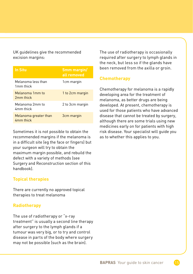UK guidelines give the recommended excision margins:

| <b>In Situ</b>                              | 5mm margin/<br>all removed |
|---------------------------------------------|----------------------------|
| Melanoma less than<br>1 <sub>mm</sub> thick | 1 <sub>cm</sub> margin     |
| Melanoma 1mm to<br>2 <sub>mm</sub> thick    | 1 to 2cm margin            |
| Melanoma 2mm to<br>4mm thick                | 2 to 3cm margin            |
| Melanoma greater than<br>4mm thick          | 3cm margin                 |

Sometimes it is not possible to obtain the recommended margins if the melanoma is in a difficult site (eg the face or fingers) but your surgeon will try to obtain the maximum margin possible, and rebuild the defect with a variety of methods (see Surgery and Reconstruction section of this handbook).

### **Topical therapies**

There are currently no approved topical therapies to treat melanoma

### **Radiotherapy**

The use of radiotherapy or "x-ray treatment" is usually a second line therapy after surgery to the lymph glands if a tumour was very big, or to try and control disease in parts of the body where surgery may not be possible (such as the brain).

The use of radiotherapy is occasionally required after surgery to lymph glands in the neck, but less so if the glands have been removed from the axilla or groin.

### **Chemotherapy**

Chemotherapy for melanoma is a rapidly developing area for the treatment of melanoma, as better drugs are being developed. At present, chemotherapy is used for those patients who have advanced disease that cannot be treated by surgery, although there are some trials using new medicines early on for patients with high risk disease. Your specialist will guide you as to whether this applies to you.

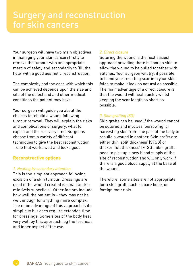Your surgeon will have two main objectives in managing your skin cancer: firstly to remove the tumour with an appropriate margin of safety and secondarily to 'fill the hole' with a good aesthetic reconstruction.

The complexity and the ease with which this can be achieved depends upon the size and site of the defect and and other medical conditions the patient may have.

Your surgeon will guide you about the choices to rebuild a wound following tumour removal. They will explain the risks and complications of surgery, what to expect and the recovery time. Surgeons choose from a variety of different techniques to give the best reconstruction – one that works well and looks good.

### **Reconstructive options**

### *1. Healing by secondary intention*

This is the simplest approach following excision of a skin tumour. Dressings are used if the wound created is small and/or relatively superficial. Other factors include how well the patient is – they may not be well enough for anything more complex. The main advantage of this approach is its simplicity but does require extended time for dressings. Some sites of the body heal very well by this approach, eg the forehead and inner aspect of the eye.

### *2. Direct closure*

Suturing the wound is the next easiest approach providing there is enough skin to allow the wound to be pulled together with stitches. Your surgeon will try, if possible, to blend your resulting scar into your skin folds to make it look as natural as possible. The main advantage of a direct closure is that the wound will heal quickly whilst keeping the scar length as short as possible.

### *3. Skin grafting (SG)*

Skin grafts can be used if the wound cannot be sutured and involves 'borrowing' or harvesting skin from one part of the body to rebuild a wound in another. Skin grafts are either thin 'split thickness' (STSG) or thicker 'full thickness' (FTSG). Skin grafts need to pick up a new blood supply at the site of reconstruction and will only work if there is a good blood supply at the base of the wound.

Therefore, some sites are not appropriate for a skin graft, such as bare bone, or foreign materials.

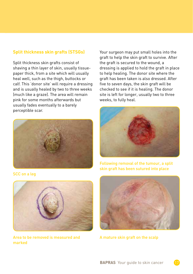### **Split thickness skin grafts (STSGs)**

Split thickness skin grafts consist of shaving a thin layer of skin, usually tissuepaper thick, from a site which will usually heal well, such as the thigh, buttocks or calf. This 'donor site' will require a dressing and is usually healed by two to three weeks (much like a graze). The area will remain pink for some months afterwards but usually fades eventually to a barely perceptible scar.



SCC on a leg



Area to be removed is measured and A mature skin graft on the scalp marked

Your surgeon may put small holes into the graft to help the skin graft to survive. After the graft is secured to the wound, a dressing is applied to hold the graft in place to help healing. The donor site where the graft has been taken is also dressed. After five to seven days, the skin graft will be checked to see if it is healing. The donor site is left for longer, usually two to three weeks, to fully heal.



Following removal of the tumour, a split skin graft has been sutured into place



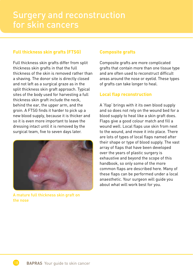### **Full thickness skin grafts (FTSG)**

Full thickness skin grafts differ from split thickness skin grafts in that the full thickness of the skin is removed rather than a shaving. The donor site is directly closed and not left as a surgical graze as in the split thickness skin graft approach. Typical sites of the body used for harvesting a full thickness skin graft include the neck, behind the ear, the upper arm, and the groin. A FTSG finds it harder to pick up a new blood supply, because it is thicker and so it is even more important to leave the dressing intact until it is removed by the surgical team, five to seven days later.



A mature full thickness skin graft on the nose

### **Composite grafts**

Composite grafts are more complicated grafts that contain more than one tissue type and are often used to reconstruct difficult areas around the nose or eyelid. These types of grafts can take longer to heal.

### **Local flap reconstruction**

A 'flap' brings with it its own blood supply and so does not rely on the wound bed for a blood supply to heal like a skin graft does. Flaps give a good colour match and fill a wound well. Local flaps use skin from next to the wound, and move it into place. There are lots of types of local flaps named after their shape or type of blood supply. The vast array of flaps that have been developed over the years of plastic surgery is exhaustive and beyond the scope of this handbook, so only some of the more common flaps are described here. Many of these flaps can be performed under a local anaesthetic. Your surgeon will guide you about what will work best for you.

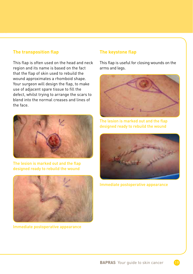### **The transposition flap**

This flap is often used on the head and neck region and its name is based on the fact that the flap of skin used to rebuild the wound approximates a rhomboid shape. Your surgeon will design the flap, to make use of adjacent spare tissue to fill the defect, whilst trying to arrange the scars to blend into the normal creases and lines of the face.



The lesion is marked out and the flap designed ready to rebuild the wound



Immediate postoperative appearance

### **The keystone flap**

This flap is useful for closing wounds on the arms and legs.



The lesion is marked out and the flap designed ready to rebuild the wound



Immediate postoperative appearance

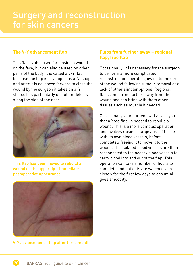## Surgery and reconstruction

### **The V-Y advancement flap**

This flap is also used for closing a wound on the face, but can also be used on other parts of the body. It is called a V-Y flap because the flap is developed as a 'V' shape and after it is advanced forward to close the wound by the surgeon it takes on a 'Y' shape. It is particularly useful for defects along the side of the nose.



This flap has been moved to rebuild a wound on the upper lip – immediate postoperative appearance



V-Y advancement – flap after three months

### **Flaps from further away – regional flap, free flap**

Occasionally, it is necessary for the surgeon to perform a more complicated reconstruction operation, owing to the size of the wound following tumour removal or a lack of other simpler options. Regional flaps come from further away from the wound and can bring with them other tissues such as muscle if needed.

Occasionally your surgeon will advise you that a 'free flap' is needed to rebuild a wound. This is a more complex operation and involves raising a large area of tissue with its own blood vessels, before completely freeing it to move it to the wound. The isolated blood vessels are then reconnected to the nearby blood vessels to carry blood into and out of the flap. This operation can take a number of hours to complete and patients are watched very closely for the first few days to ensure all goes smoothly.

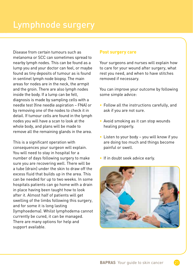Disease from certain tumours such as melanoma or SCC can sometimes spread to nearby lymph nodes. This can be found as a lump you and your doctor can feel, or maybe found as tiny deposits of tumour as is found in sentinel lymph node biopsy. The main areas for nodes are in the neck, the armpit and the groin. There are also lymph nodes inside the body. If a lump can be felt, diagnosis is made by sampling cells with a needle test (fine needle aspiration – FNA) or by removing one of the nodes to check it in detail. If tumour cells are found in the lymph nodes you will have a scan to look at the whole body, and plans will be made to remove all the remaining glands in the area.

This is a significant operation with consequences your surgeon will explain. You will need to stay in hospital for a number of days following surgery to make sure you are recovering well. There will be a tube (drain) under the skin to draw off the excess fluid that builds up in the area. This can be needed for up to two weeks. In some hospitals patients can go home with a drain in place having been taught how to look after it. Almost half of patients will get swelling of the limbs following this surgery, and for some it is long lasting (lymphoedema). Whilst lymphodema cannot currently be cured, it can be managed. There are many options for help and support available.

### **Post surgery care**

Your surgeons and nurses will explain how to care for your wound after surgery, what rest you need, and when to have stitches removed if necessary.

You can improve your outcome by following some simple advice:

- Follow all the instructions carefully, and ask if you are not sure.
- Avoid smoking as it can stop wounds healing properly.
- Listen to your body you will know if you are doing too much and things become painful or swell.
- If in doubt seek advice early.



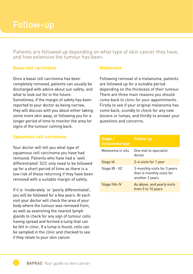Patients are followed up depending on what type of skin cancer they have, and how extensive the tumour has been.

### **Basal cell carcinoma**

Once a basal cell carcinoma has been completely removed, patients can usually be discharged with advice about sun safety, and what to look out for in the future. Sometimes, if the margin of safety has been reported to your doctor as being narrow, they will discuss with you about either taking some more skin away, or following you for a longer period of time to monitor the area for signs of the tumour coming back.

### **Squamous cell carcinoma**

Your doctor will tell you what type of squamous cell carcinoma you have had removed. Patients who have had a 'well differentiated' SCC only need to be followed up for a short period of time as there is a low risk of these returning if they have been removed with a suitable margin of safety.

If it is 'moderately' or 'poorly differentiated', you will be followed for a few years. At each visit your doctor will check the area of your body where the tumour was removed from, as well as examining the nearest lymph glands to check for any sign of tumour cells having spread and formed a lump that can be felt in clinic. If a lump is found, cells can be sampled in the clinic and checked to see if they relate to your skin cancer.

### **Melanoma**

Following removal of a melanoma, patients are followed up for a suitable period depending on the thickness of their tumour. There are three main reasons you should come back to clinic for your appointments. Firstly to see if your original melanoma has come back, scondly to check for any new lesions or lumps, and thirdly to answer your questions and concerns.

| Stage /<br>melanoma type | <b>Follow up</b>                                                             |
|--------------------------|------------------------------------------------------------------------------|
| Melanoma in situ         | One visit to specialist<br>doctor                                            |
| Stage IA                 | 2-4 visits for 1 year                                                        |
| Stage IB - IIC           | 3-monthly visits for 3 years<br>then 6-monthly visits for<br>another 2 years |
| Stage IIIA-IV            | As above, and yearly visits<br>from 5 to 10 years                            |

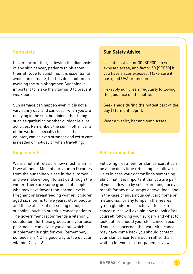### **Sun safety**

It is important that, following the diagnosis of any skin cancer, patients think about their attitude to sunshine. It is essential to avoid sun damage, but this does not mean avoiding the sun altogether. Sunshine is important to make the vitamin D to prevent weak bones.

Sun damage can happen even if it is not a very sunny day, and can occur when you are not lying in the sun, but doing other things such as gardening or other outdoor leisure activities. Remember, the sun in other parts of the world, especially closer to the equator, can be even stronger and extra care is needed on holiday or when travelling.

### **Supplements**

We are not entirely sure how much vitamin D we all need. Most of our vitamin D comes from the sunshine we see in the summer and we make enough to last us through the winter. There are some groups of people who may have lower than normal levels. Pregnant or breastfeeding women, children aged six months to five years, older people and those at risk of not seeing enough sunshine, such as our skin cancer patients. The government recommends a vitamin D supplement for these groups and your local pharmacist can advise you about which supplement is right for you. Remember, sunbeds are NOT a good way to top up your vitamin D levels!

### **Sun Safety Advice**

- Use at least factor 30 (SPF30) on sun exposed areas, and factor 50 (SPF50) if you have a scar exposed. Make sure it has good UVA protection.
- Re-apply sun cream regularly following the guidance on the bottle.
- Seek shade during the hottest part of the day (11am until 3pm).
- Wear a t-shirt, hat and sunglasses.

### **Self-examination**

Following treatment for skin cancer, it can be an anxious time returning for follow-up visits in case your doctor finds something abnormal. It is important that you are part of your follow up by self-examining once a month for any new lumps or swellings, and in the case of squamous cell carcinoma or melanoma, for any lumps in the nearest lymph glands. Your doctor and/or skin cancer nurse will explain how to look after yourself following your surgery and what to look out for should your skin cancer recur. If you are concerned that your skin cancer may have come back you should contact your skin cancer team soon rather than waiting for your next outpatient review.

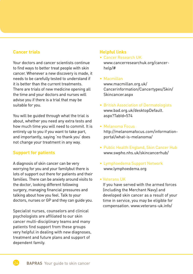### **Cancer trials**

Your doctors and cancer scientists continue to find ways to better treat people with skin cancer. Whenever a new discovery is made, it needs to be carefully tested to understand if it is better than the current treatments. There are trials of new medicine opening all the time and your doctors and nurses will advise you if there is a trial that may be suitable for you.

You will be guided through what the trial is about, whether you need any extra tests and how much time you will need to commit. It is entirely up to you if you want to take part, and importantly, saying 'no thank you' does not change your treatment in any way.

### **Support for patients**

A diagnosis of skin cancer can be very worrying for you and your familybut there is lots of support out there for patients and their families. There can be anxiety around visits to the doctor, looking different following surgery, managing financial pressures and talking about how you feel. Talk to your doctors, nurses or GP and they can guide you.

Specialist nurses, counselors and clinical psychologists are affiliated to our skin cancer multi-disciplinary teams and many patients find support from these groups very helpful in dealing with new diagnoses, treatment and future plans and support of dependent family.

### **Helpful links**

- Cancer Research UK www.cancerresearchuk.org/cancerhelp/#
- Macmillan www.macmillan.org.uk/ Cancerinformation/Cancertypes/Skin/ Skincancer.aspx
- British Association of Dermatologists www.bad.org.uk/desktopDefault. aspx?TabId=574
- Melanoma Focus http://melanomafocus.com/informationportal/what-is-melanoma/
- Public Health England, Skin Cancer Hub www.swpho.nhs.uk/skincancerhub/
- Lymphoedema Support Network www.lymphoedema.org

### • Veterans UK

If you have served with the armed forces (including the Merchant Navy) and developed skin cancer as a result of your time in service, you may be eligible for compensation. www.veterans-uk.info/